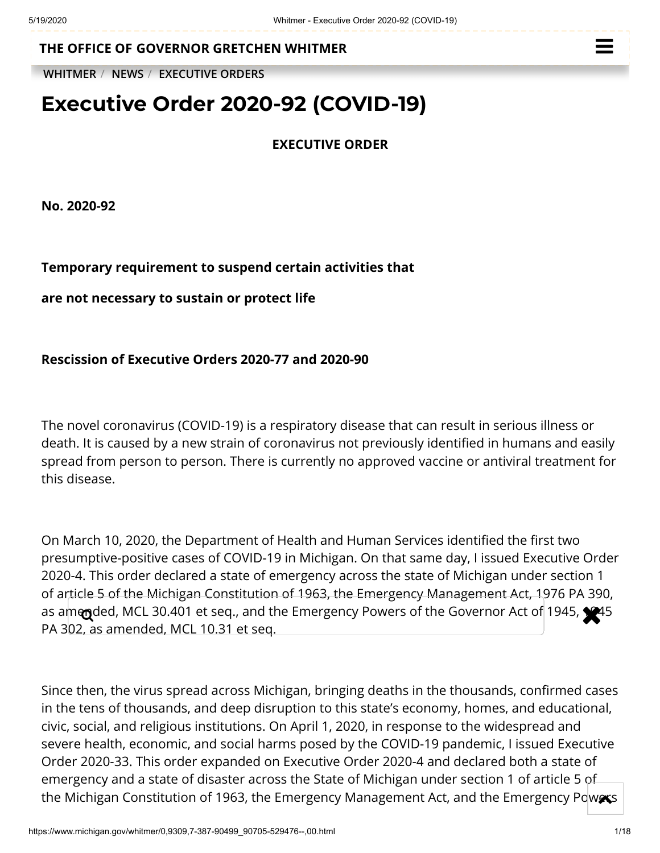**THE OFFICE OF [GOVERNOR GRETCHEN WHITMER](https://www.michigan.gov/whitmer/)**

**[WHITMER](https://www.michigan.gov/whitmer/)** / **[NEWS](https://www.michigan.gov/whitmer/0,9309,7-387-90499---,00.html)** / **[EXECUTIVE ORDERS](https://www.michigan.gov/whitmer/0,9309,7-387-90499_90705---,00.html)**

# **Executive Order 2020-92 (COVID-19)**

**EXECUTIVE ORDER**

**No. 2020-92**

## **Temporary requirement to suspend certain activities that**

**are not necessary to sustain or protect life**

### **Rescission of Executive Orders 2020-77 and 2020-90**

The novel coronavirus (COVID-19) is a respiratory disease that can result in serious illness or death. It is caused by a new strain of coronavirus not previously identified in humans and easily spread from person to person. There is currently no approved vaccine or antiviral treatment for this disease.

On March 10, 2020, the Department of Health and Human Services identified the first two presumptive-positive cases of COVID-19 in Michigan. On that same day, I issued Executive Order 2020-4. This order declared a state of emergency across the state of Michigan under section 1 of article 5 of the Michigan Constitution of 1963, the Emergency Management Act, 1976 PA 390, as amended, MCL 30.401 et seq., and the Emergency Powers of the Governor Act of 1945, 1945 PA 302, as amended, MCL 10.31 et seq.

Since then, the virus spread across Michigan, bringing deaths in the thousands, confirmed cases in the tens of thousands, and deep disruption to this state's economy, homes, and educational, civic, social, and religious institutions. On April 1, 2020, in response to the widespread and severe health, economic, and social harms posed by the COVID-19 pandemic, I issued Executive Order 2020-33. This order expanded on Executive Order 2020-4 and declared both a state of emergency and a state of disaster across the State of Michigan under section 1 of article 5 of the Michigan Constitution of 1963, the Emergency Management Act, and the Emergency Powers

 $\equiv$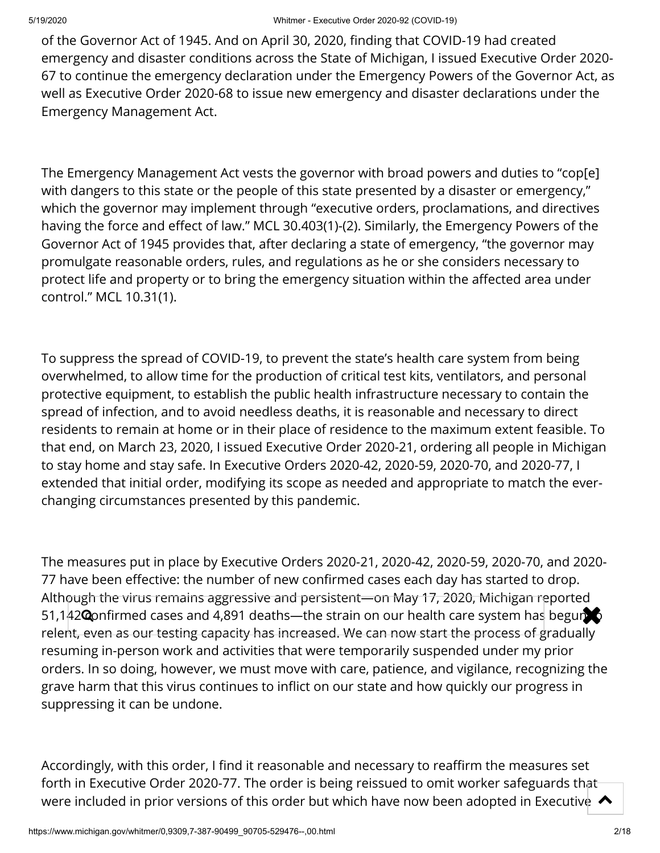of the Governor Act of 1945. And on April 30, 2020, finding that COVID-19 had created emergency and disaster conditions across the State of Michigan, I issued Executive Order 2020- 67 to continue the emergency declaration under the Emergency Powers of the Governor Act, as well as Executive Order 2020-68 to issue new emergency and disaster declarations under the Emergency Management Act.

The Emergency Management Act vests the governor with broad powers and duties to "cop[e] with dangers to this state or the people of this state presented by a disaster or emergency," which the governor may implement through "executive orders, proclamations, and directives having the force and effect of law." MCL 30.403(1)-(2). Similarly, the Emergency Powers of the Governor Act of 1945 provides that, after declaring a state of emergency, "the governor may promulgate reasonable orders, rules, and regulations as he or she considers necessary to protect life and property or to bring the emergency situation within the affected area under control." MCL 10.31(1).

To suppress the spread of COVID-19, to prevent the state's health care system from being overwhelmed, to allow time for the production of critical test kits, ventilators, and personal protective equipment, to establish the public health infrastructure necessary to contain the spread of infection, and to avoid needless deaths, it is reasonable and necessary to direct residents to remain at home or in their place of residence to the maximum extent feasible. To that end, on March 23, 2020, I issued Executive Order 2020-21, ordering all people in Michigan to stay home and stay safe. In Executive Orders 2020-42, 2020-59, 2020-70, and 2020-77, I extended that initial order, modifying its scope as needed and appropriate to match the everchanging circumstances presented by this pandemic.

The measures put in place by Executive Orders 2020-21, 2020-42, 2020-59, 2020-70, and 2020- 77 have been effective: the number of new confirmed cases each day has started to drop. Although the virus remains aggressive and persistent—on May 17, 2020, Michigan reported 51,142 **Q**onfirmed cases and 4,891 deaths—the strain on our health care system has begun relen<del>t, even as our testing capacity has increased. We can now start the process of g</del>radually resuming in-person work and activities that were temporarily suspended under my prior orders. In so doing, however, we must move with care, patience, and vigilance, recognizing the grave harm that this virus continues to inflict on our state and how quickly our progress in suppressing it can be undone.

Accordingly, with this order, I find it reasonable and necessary to reaffirm the measures set forth in Executive Order 2020-77. The order is being reissued to omit worker safeguards that were included in prior versions of this order but which have now been adopted in Executive  $\,\blacktriangle\,$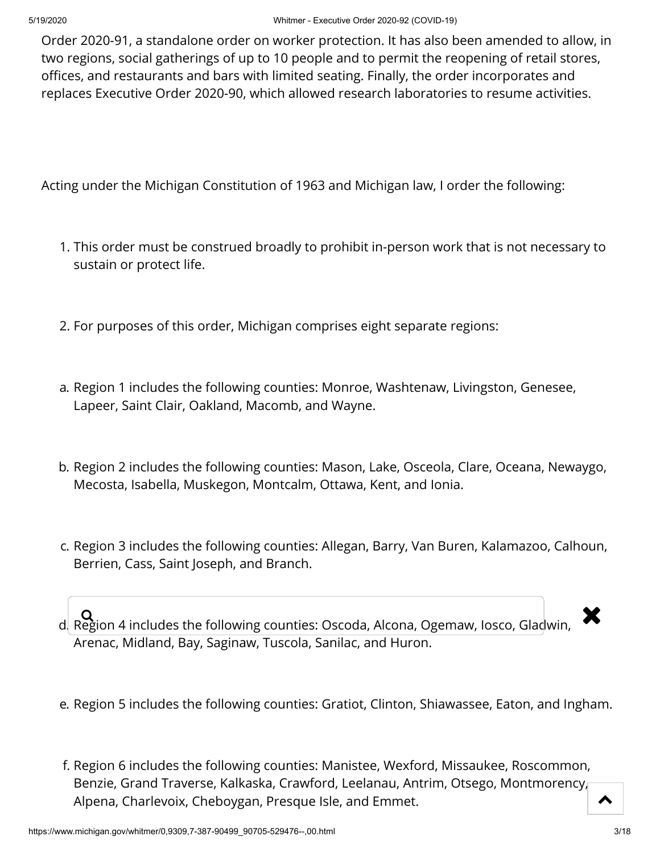Order 2020-91, a standalone order on worker protection. It has also been amended to allow, in two regions, social gatherings of up to 10 people and to permit the reopening of retail stores, offices, and restaurants and bars with limited seating. Finally, the order incorporates and replaces Executive Order 2020-90, which allowed research laboratories to resume activities.

Acting under the Michigan Constitution of 1963 and Michigan law, I order the following:

- 1. This order must be construed broadly to prohibit in-person work that is not necessary to sustain or protect life.
- 2. For purposes of this order, Michigan comprises eight separate regions:
- a. Region 1 includes the following counties: Monroe, Washtenaw, Livingston, Genesee, Lapeer, Saint Clair, Oakland, Macomb, and Wayne.
- b. Region 2 includes the following counties: Mason, Lake, Osceola, Clare, Oceana, Newaygo, Mecosta, Isabella, Muskegon, Montcalm, Ottawa, Kent, and Ionia.
- c. Region 3 includes the following counties: Allegan, Barry, Van Buren, Kalamazoo, Calhoun, Berrien, Cass, Saint Joseph, and Branch.

 $\overline{\mathbf{Q}}$   $\mathbf{Q}$  Region 4 includes the following counties: Oscoda, Alcona, Ogemaw, Iosco, Gladwin,  $\overline{\mathbf{X}}$ Arenac, Midland, Bay, Saginaw, Tuscola, Sanilac, and Huron.

- e. Region 5 includes the following counties: Gratiot, Clinton, Shiawassee, Eaton, and Ingham.
- f. Region 6 includes the following counties: Manistee, Wexford, Missaukee, Roscommon, Benzie, Grand Traverse, Kalkaska, Crawford, Leelanau, Antrim, Otsego, Montmorency, Alpena, Charlevoix, Cheboygan, Presque Isle, and Emmet.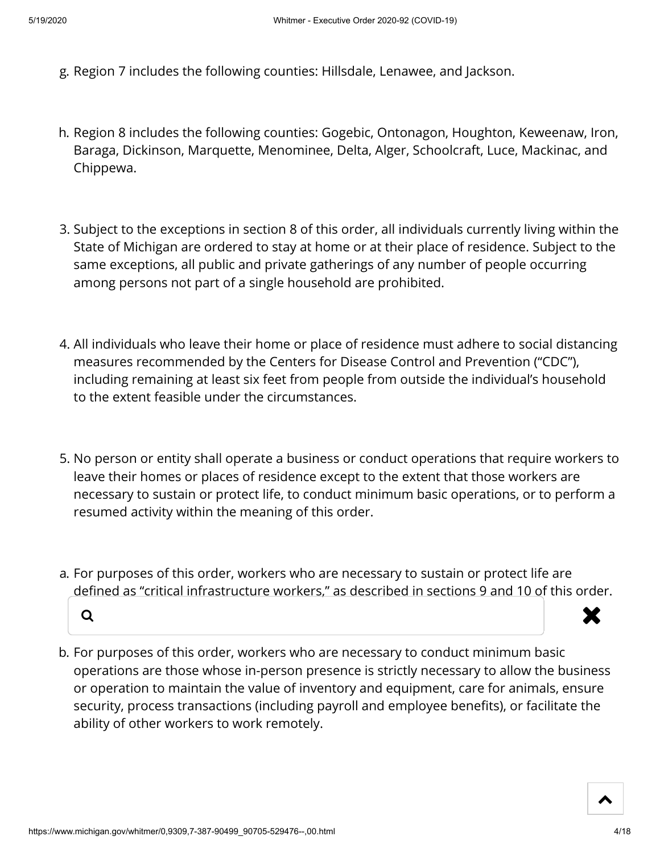- g. Region 7 includes the following counties: Hillsdale, Lenawee, and Jackson.
- h. Region 8 includes the following counties: Gogebic, Ontonagon, Houghton, Keweenaw, Iron, Baraga, Dickinson, Marquette, Menominee, Delta, Alger, Schoolcraft, Luce, Mackinac, and Chippewa.
- 3. Subject to the exceptions in section 8 of this order, all individuals currently living within the State of Michigan are ordered to stay at home or at their place of residence. Subject to the same exceptions, all public and private gatherings of any number of people occurring among persons not part of a single household are prohibited.
- 4. All individuals who leave their home or place of residence must adhere to social distancing measures recommended by the Centers for Disease Control and Prevention ("CDC"), including remaining at least six feet from people from outside the individual's household to the extent feasible under the circumstances.
- 5. No person or entity shall operate a business or conduct operations that require workers to leave their homes or places of residence except to the extent that those workers are necessary to sustain or protect life, to conduct minimum basic operations, or to perform a resumed activity within the meaning of this order.
- a. For purposes of this order, workers who are necessary to sustain or protect life are defined as "critical infrastructure workers," as described in sections 9 and 10 of this order.



b. For purposes of this order, workers who are necessary to conduct minimum basic operations are those whose in-person presence is strictly necessary to allow the business or operation to maintain the value of inventory and equipment, care for animals, ensure security, process transactions (including payroll and employee benefits), or facilitate the ability of other workers to work remotely.

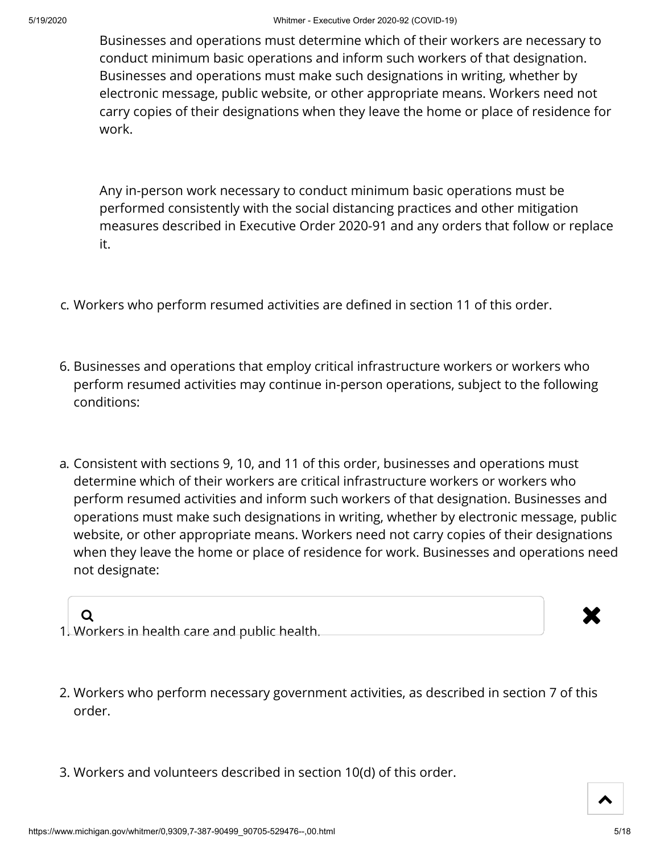Businesses and operations must determine which of their workers are necessary to conduct minimum basic operations and inform such workers of that designation. Businesses and operations must make such designations in writing, whether by electronic message, public website, or other appropriate means. Workers need not carry copies of their designations when they leave the home or place of residence for work.

Any in-person work necessary to conduct minimum basic operations must be performed consistently with the social distancing practices and other mitigation measures described in Executive Order 2020-91 and any orders that follow or replace it.

- c. Workers who perform resumed activities are defined in section 11 of this order.
- 6. Businesses and operations that employ critical infrastructure workers or workers who perform resumed activities may continue in-person operations, subject to the following conditions:
- a. Consistent with sections 9, 10, and 11 of this order, businesses and operations must determine which of their workers are critical infrastructure workers or workers who perform resumed activities and inform such workers of that designation. Businesses and operations must make such designations in writing, whether by electronic message, public website, or other appropriate means. Workers need not carry copies of their designations when they leave the home or place of residence for work. Businesses and operations need not designate:

- 1. Workers in health care and public health.  $\alpha$  . The contract of the contract of  $\mathbf x$
- 2. Workers who perform necessary government activities, as described in section 7 of this order.
- 3. Workers and volunteers described in section 10(d) of this order.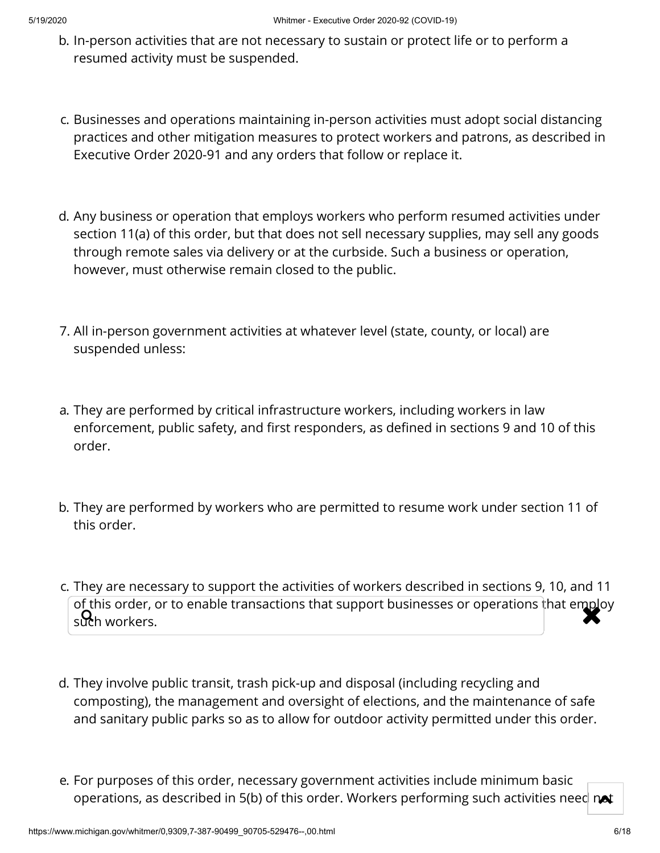- b. In-person activities that are not necessary to sustain or protect life or to perform a resumed activity must be suspended.
- c. Businesses and operations maintaining in-person activities must adopt social distancing practices and other mitigation measures to protect workers and patrons, as described in Executive Order 2020-91 and any orders that follow or replace it.
- d. Any business or operation that employs workers who perform resumed activities under section 11(a) of this order, but that does not sell necessary supplies, may sell any goods through remote sales via delivery or at the curbside. Such a business or operation, however, must otherwise remain closed to the public.
- 7. All in-person government activities at whatever level (state, county, or local) are suspended unless:
- a. They are performed by critical infrastructure workers, including workers in law enforcement, public safety, and first responders, as defined in sections 9 and 10 of this order.
- b. They are performed by workers who are permitted to resume work under section 11 of this order.
- c. They are necessary to support the activities of workers described in sections 9, 10, and 11 of this order, or to enable transactions that support businesses or operations that employ<br>such workers. such workers.
- d. They involve public transit, trash pick-up and disposal (including recycling and composting), the management and oversight of elections, and the maintenance of safe and sanitary public parks so as to allow for outdoor activity permitted under this order.
- e. For purposes of this order, necessary government activities include minimum basic operations, as described in 5(b) of this order. Workers performing such activities need  $\infty$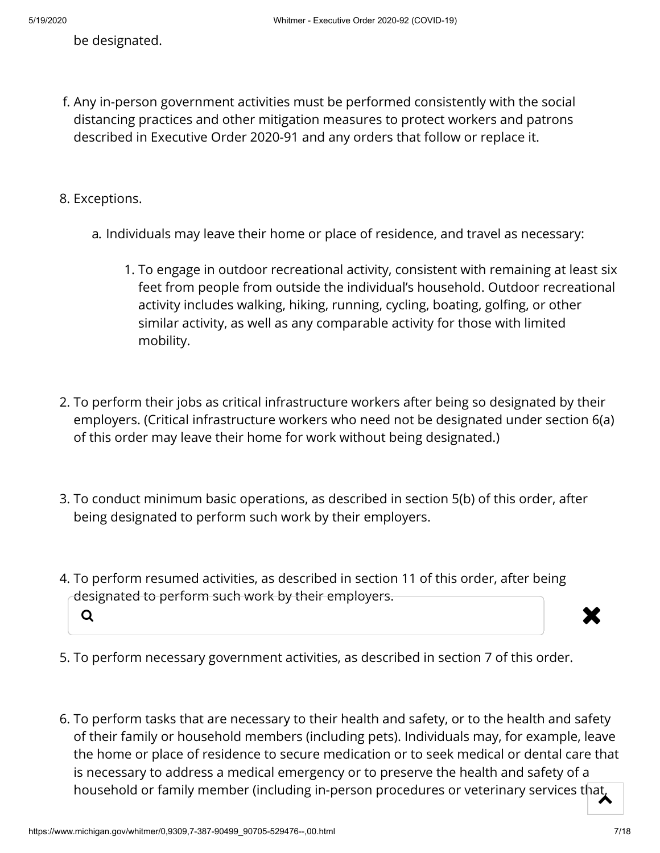be designated.

f. Any in-person government activities must be performed consistently with the social distancing practices and other mitigation measures to protect workers and patrons described in Executive Order 2020-91 and any orders that follow or replace it.

8. Exceptions.

- a. Individuals may leave their home or place of residence, and travel as necessary:
	- 1. To engage in outdoor recreational activity, consistent with remaining at least six feet from people from outside the individual's household. Outdoor recreational activity includes walking, hiking, running, cycling, boating, golfing, or other similar activity, as well as any comparable activity for those with limited mobility.
- 2. To perform their jobs as critical infrastructure workers after being so designated by their employers. (Critical infrastructure workers who need not be designated under section 6(a) of this order may leave their home for work without being designated.)
- 3. To conduct minimum basic operations, as described in section 5(b) of this order, after being designated to perform such work by their employers.
- 4. To perform resumed activities, as described in section 11 of this order, after being designated to perform such work by their employers.  $\alpha$  and  $\alpha$  is the contract of  $\alpha$  in  $\alpha$



- 5. To perform necessary government activities, as described in section 7 of this order.
- 6. To perform tasks that are necessary to their health and safety, or to the health and safety of their family or household members (including pets). Individuals may, for example, leave the home or place of residence to secure medication or to seek medical or dental care that is necessary to address a medical emergency or to preserve the health and safety of a household or family member (including in-person procedures or veterinary services that,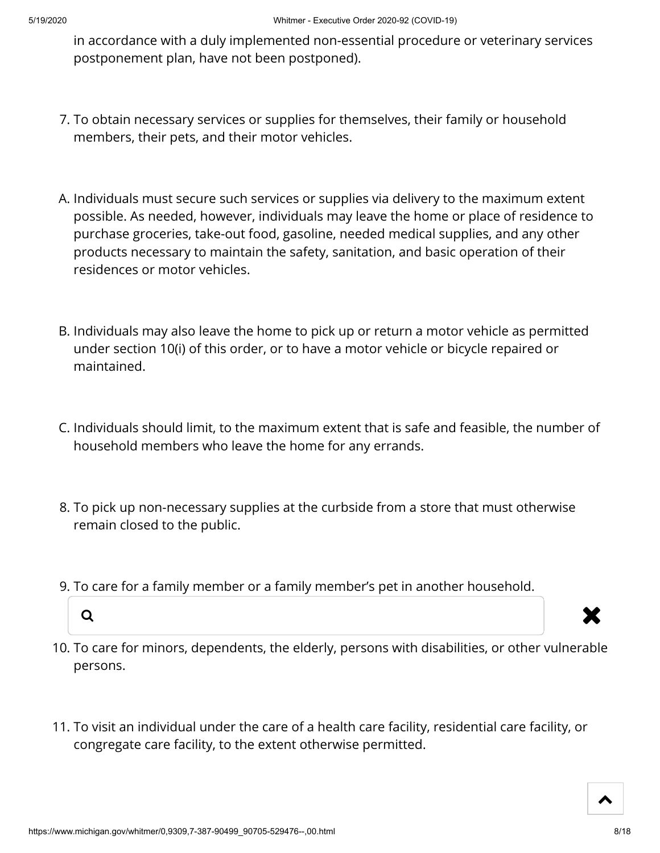in accordance with a duly implemented non-essential procedure or veterinary services postponement plan, have not been postponed).

- 7. To obtain necessary services or supplies for themselves, their family or household members, their pets, and their motor vehicles.
- A. Individuals must secure such services or supplies via delivery to the maximum extent possible. As needed, however, individuals may leave the home or place of residence to purchase groceries, take-out food, gasoline, needed medical supplies, and any other products necessary to maintain the safety, sanitation, and basic operation of their residences or motor vehicles.
- B. Individuals may also leave the home to pick up or return a motor vehicle as permitted under section 10(i) of this order, or to have a motor vehicle or bicycle repaired or maintained.
- C. Individuals should limit, to the maximum extent that is safe and feasible, the number of household members who leave the home for any errands.
- 8. To pick up non-necessary supplies at the curbside from a store that must otherwise remain closed to the public.
- 9. To care for a family member or a family member's pet in another household.





- 10. To care for minors, dependents, the elderly, persons with disabilities, or other vulnerable persons.
- 11. To visit an individual under the care of a health care facility, residential care facility, or congregate care facility, to the extent otherwise permitted.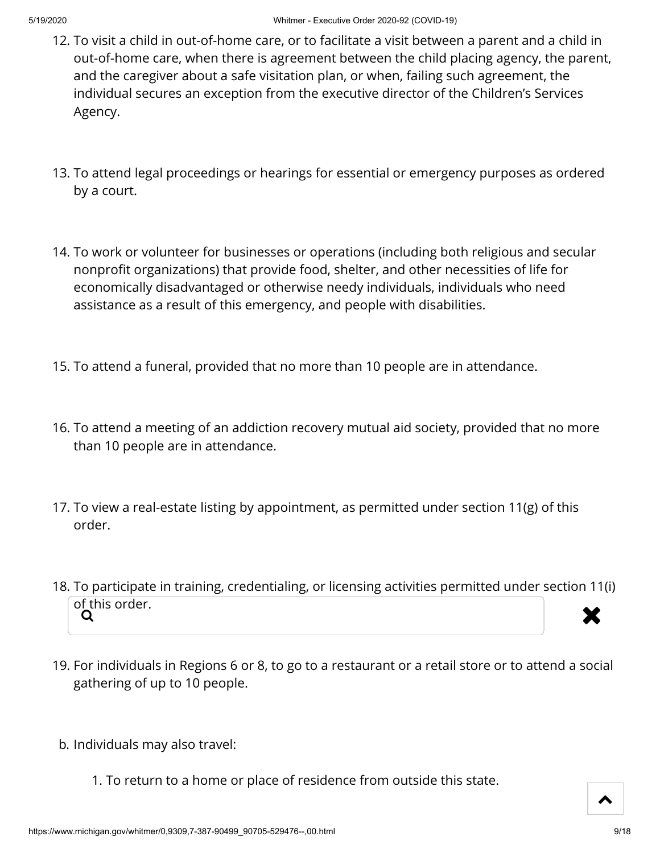- 12. To visit a child in out-of-home care, or to facilitate a visit between a parent and a child in out-of-home care, when there is agreement between the child placing agency, the parent, and the caregiver about a safe visitation plan, or when, failing such agreement, the individual secures an exception from the executive director of the Children's Services Agency.
- 13. To attend legal proceedings or hearings for essential or emergency purposes as ordered by a court.
- 14. To work or volunteer for businesses or operations (including both religious and secular nonprofit organizations) that provide food, shelter, and other necessities of life for economically disadvantaged or otherwise needy individuals, individuals who need assistance as a result of this emergency, and people with disabilities.
- 15. To attend a funeral, provided that no more than 10 people are in attendance.
- 16. To attend a meeting of an addiction recovery mutual aid society, provided that no more than 10 people are in attendance.
- 17. To view a real-estate listing by appointment, as permitted under section 11(g) of this order.
- 18. To participate in training, credentialing, or licensing activities permitted under section 11(i) of this order.<br>Q  $Q$  and  $Q$  and  $Q$  and  $Q$  and  $Q$  and  $Q$  and  $Q$  and  $Q$  and  $Q$  and  $Q$  and  $Q$  and  $Q$  and  $Q$  and  $Q$  and  $Q$  and  $Q$  and  $Q$  and  $Q$  and  $Q$  and  $Q$  and  $Q$  and  $Q$  and  $Q$  and  $Q$  and  $Q$  and  $Q$  and  $Q$  and  $Q$  a
- 19. For individuals in Regions 6 or 8, to go to a restaurant or a retail store or to attend a social gathering of up to 10 people.
- b. Individuals may also travel:
	- 1. To return to a home or place of residence from outside this state.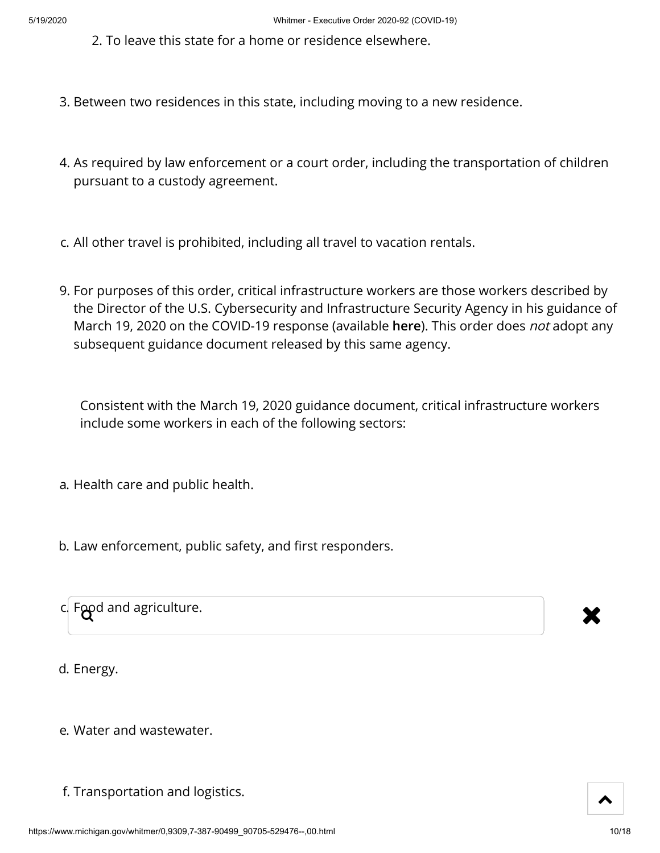- 2. To leave this state for a home or residence elsewhere.
- 3. Between two residences in this state, including moving to a new residence.
- 4. As required by law enforcement or a court order, including the transportation of children pursuant to a custody agreement.
- c. All other travel is prohibited, including all travel to vacation rentals.
- 9. For purposes of this order, critical infrastructure workers are those workers described by the Director of the U.S. Cybersecurity and Infrastructure Security Agency in his guidance of March 19, 2020 on the COVID-19 response (available **[here](https://www.cisa.gov/sites/default/files/publications/CISA-Guidance-on-Essential-Critical-Infrastructure-Workers-1-20-508c.pdf)**). This order does not adopt any subsequent guidance document released by this same agency.

Consistent with the March 19, 2020 guidance document, critical infrastructure workers include some workers in each of the following sectors:

- a. Health care and public health.
- b. Law enforcement, public safety, and first responders.

| $ci$ Food and agriculture. |  |
|----------------------------|--|
|                            |  |

d. Energy.

- e. Water and wastewater.
- f. Transportation and logistics.



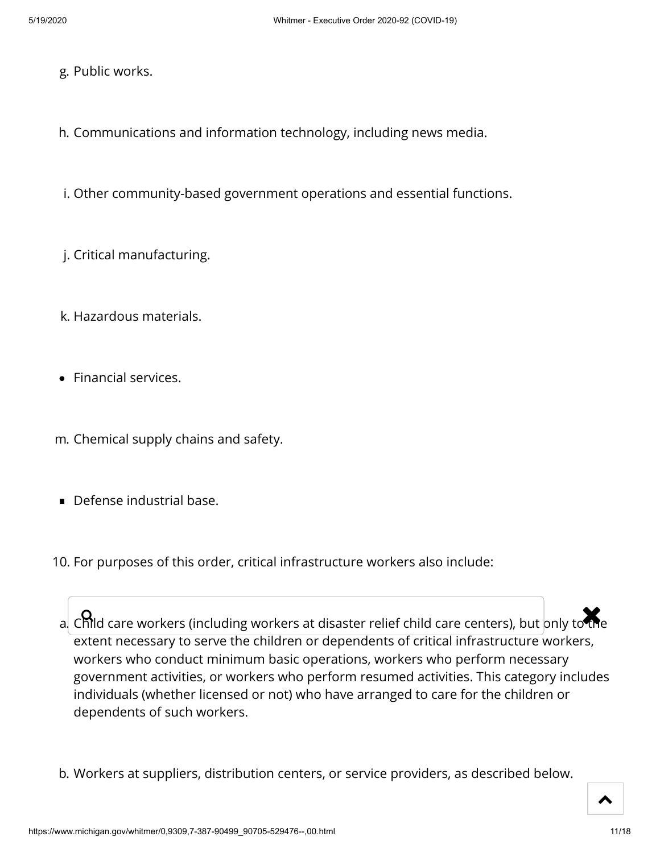- g. Public works.
- h. Communications and information technology, including news media.
- i. Other community-based government operations and essential functions.
- j. Critical manufacturing.
- k. Hazardous materials.
- Financial services.
- m. Chemical supply chains and safety.
- **Defense industrial base.**
- 10. For purposes of this order, critical infrastructure workers also include:

a. Child care workers (including workers at disaster relief child care centers), but only to the extent necessary to serve the children or dependents of critical infrastructure workers, workers who conduct minimum basic operations, workers who perform necessary government activities, or workers who perform resumed activities. This category includes individuals (whether licensed or not) who have arranged to care for the children or dependents of such workers.

b. Workers at suppliers, distribution centers, or service providers, as described below.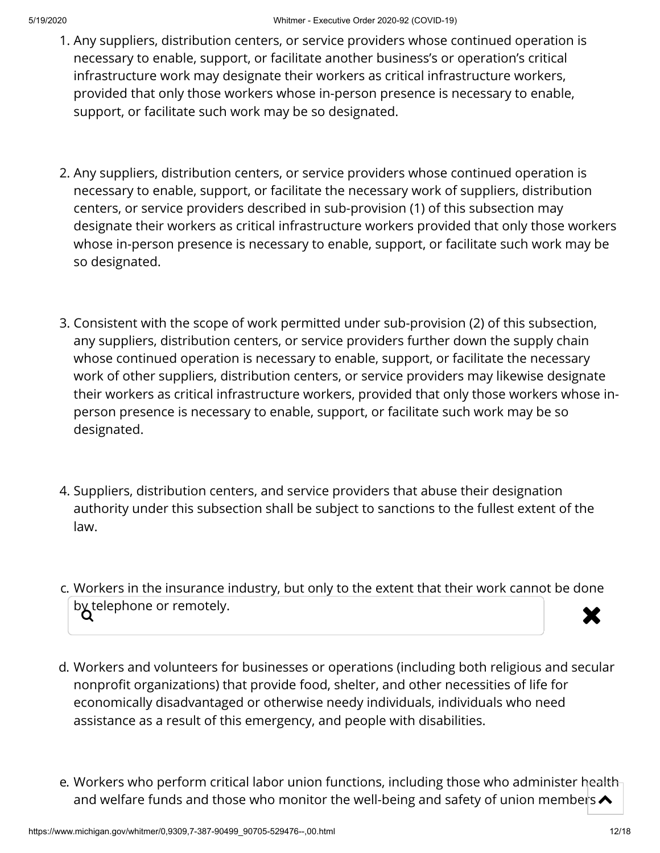- 1. Any suppliers, distribution centers, or service providers whose continued operation is necessary to enable, support, or facilitate another business's or operation's critical infrastructure work may designate their workers as critical infrastructure workers, provided that only those workers whose in-person presence is necessary to enable, support, or facilitate such work may be so designated.
- 2. Any suppliers, distribution centers, or service providers whose continued operation is necessary to enable, support, or facilitate the necessary work of suppliers, distribution centers, or service providers described in sub-provision (1) of this subsection may designate their workers as critical infrastructure workers provided that only those workers whose in-person presence is necessary to enable, support, or facilitate such work may be so designated.
- 3. Consistent with the scope of work permitted under sub-provision (2) of this subsection, any suppliers, distribution centers, or service providers further down the supply chain whose continued operation is necessary to enable, support, or facilitate the necessary work of other suppliers, distribution centers, or service providers may likewise designate their workers as critical infrastructure workers, provided that only those workers whose inperson presence is necessary to enable, support, or facilitate such work may be so designated.
- 4. Suppliers, distribution centers, and service providers that abuse their designation authority under this subsection shall be subject to sanctions to the fullest extent of the law.
- c. Workers in the insurance industry, but only to the extent that their work cannot be done by telephone or remotely.  $\blacktriangledown$
- d. Workers and volunteers for businesses or operations (including both religious and secular nonprofit organizations) that provide food, shelter, and other necessities of life for economically disadvantaged or otherwise needy individuals, individuals who need assistance as a result of this emergency, and people with disabilities.
- e. Workers who perform critical labor union functions, including those who administer health and welfare funds and those who monitor the well-being and safety of union members  $\blacktriangle$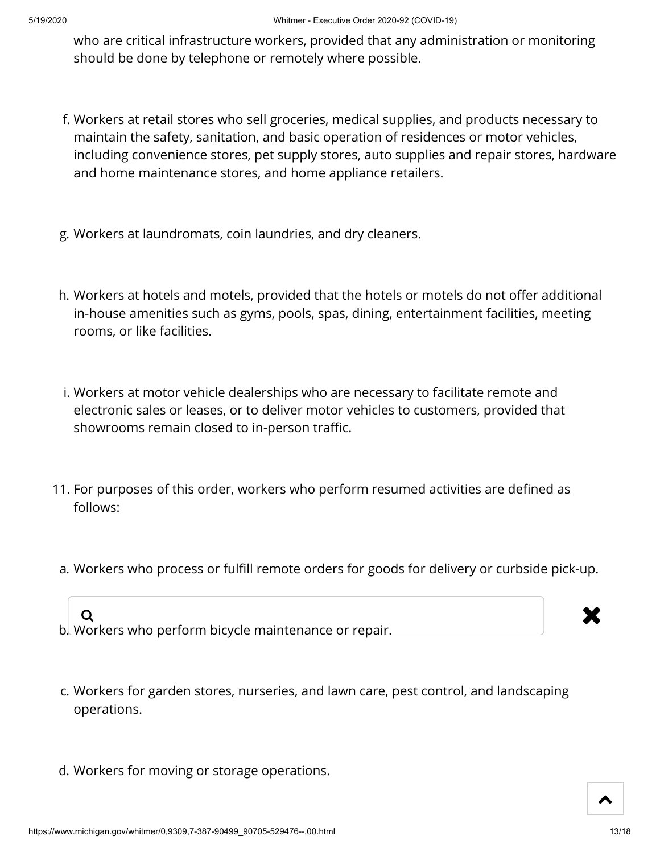who are critical infrastructure workers, provided that any administration or monitoring should be done by telephone or remotely where possible.

- f. Workers at retail stores who sell groceries, medical supplies, and products necessary to maintain the safety, sanitation, and basic operation of residences or motor vehicles, including convenience stores, pet supply stores, auto supplies and repair stores, hardware and home maintenance stores, and home appliance retailers.
- g. Workers at laundromats, coin laundries, and dry cleaners.
- h. Workers at hotels and motels, provided that the hotels or motels do not offer additional in-house amenities such as gyms, pools, spas, dining, entertainment facilities, meeting rooms, or like facilities.
- i. Workers at motor vehicle dealerships who are necessary to facilitate remote and electronic sales or leases, or to deliver motor vehicles to customers, provided that showrooms remain closed to in-person traffic.
- 11. For purposes of this order, workers who perform resumed activities are defined as follows:
- a. Workers who process or fulfill remote orders for goods for delivery or curbside pick-up.

b. Workers who perform bicycle maintenance or repair.  $Q$ 

- c. Workers for garden stores, nurseries, and lawn care, pest control, and landscaping operations.
- d. Workers for moving or storage operations.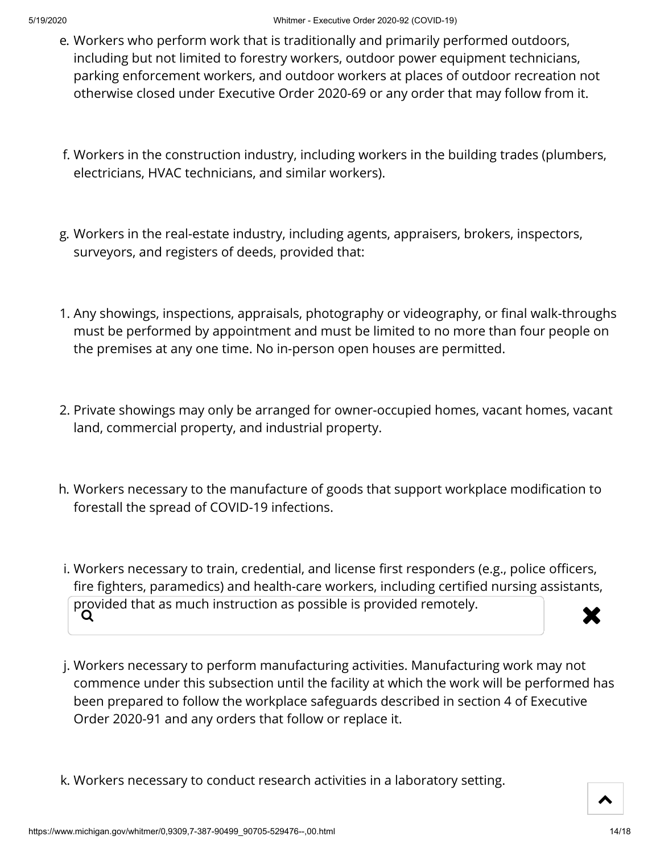- e. Workers who perform work that is traditionally and primarily performed outdoors, including but not limited to forestry workers, outdoor power equipment technicians, parking enforcement workers, and outdoor workers at places of outdoor recreation not otherwise closed under Executive Order 2020-69 or any order that may follow from it.
- f. Workers in the construction industry, including workers in the building trades (plumbers, electricians, HVAC technicians, and similar workers).
- g. Workers in the real-estate industry, including agents, appraisers, brokers, inspectors, surveyors, and registers of deeds, provided that:
- 1. Any showings, inspections, appraisals, photography or videography, or final walk-throughs must be performed by appointment and must be limited to no more than four people on the premises at any one time. No in-person open houses are permitted.
- 2. Private showings may only be arranged for owner-occupied homes, vacant homes, vacant land, commercial property, and industrial property.
- h. Workers necessary to the manufacture of goods that support workplace modification to forestall the spread of COVID-19 infections.
- i. Workers necessary to train, credential, and license first responders (e.g., police officers, fire fighters, paramedics) and health-care workers, including certified nursing assistants, provided that as much instruction as possible is provided remotely.<br> $\overrightarrow{Q}$
- j. Workers necessary to perform manufacturing activities. Manufacturing work may not commence under this subsection until the facility at which the work will be performed has been prepared to follow the workplace safeguards described in section 4 of Executive Order 2020-91 and any orders that follow or replace it.
- k. Workers necessary to conduct research activities in a laboratory setting.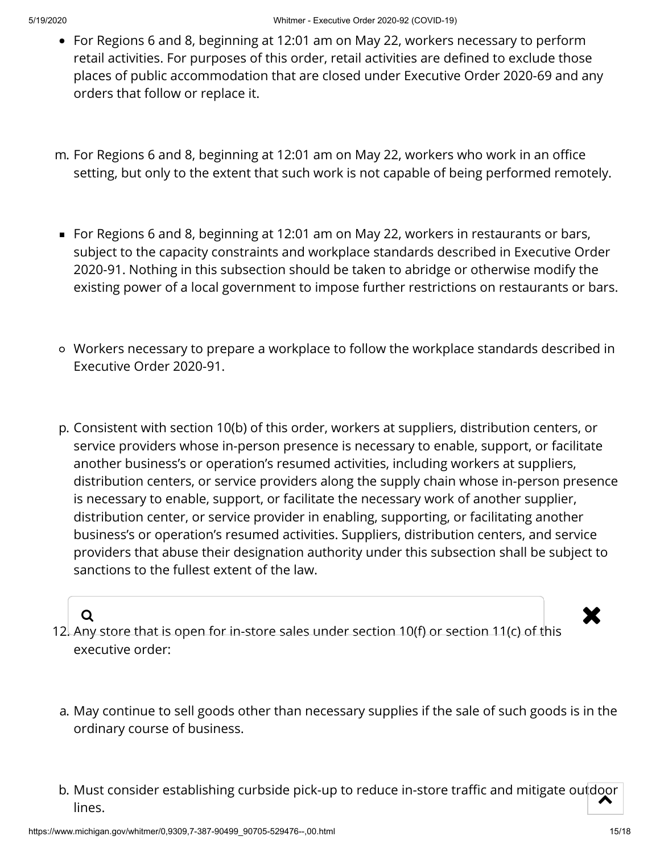- For Regions 6 and 8, beginning at 12:01 am on May 22, workers necessary to perform retail activities. For purposes of this order, retail activities are defined to exclude those places of public accommodation that are closed under Executive Order 2020-69 and any orders that follow or replace it.
- m. For Regions 6 and 8, beginning at 12:01 am on May 22, workers who work in an office setting, but only to the extent that such work is not capable of being performed remotely.
- For Regions 6 and 8, beginning at 12:01 am on May 22, workers in restaurants or bars, subject to the capacity constraints and workplace standards described in Executive Order 2020-91. Nothing in this subsection should be taken to abridge or otherwise modify the existing power of a local government to impose further restrictions on restaurants or bars.
- Workers necessary to prepare a workplace to follow the workplace standards described in Executive Order 2020-91.
- p. Consistent with section 10(b) of this order, workers at suppliers, distribution centers, or service providers whose in-person presence is necessary to enable, support, or facilitate another business's or operation's resumed activities, including workers at suppliers, distribution centers, or service providers along the supply chain whose in-person presence is necessary to enable, support, or facilitate the necessary work of another supplier, distribution center, or service provider in enabling, supporting, or facilitating another business's or operation's resumed activities. Suppliers, distribution centers, and service providers that abuse their designation authority under this subsection shall be subject to sanctions to the fullest extent of the law.

- 12. Any store that is open for in-store sales under section 10(f) or section 11(c) of this executive order:  $\alpha$  . The contract of the contract of the contract of  $\mathbf x$
- a. May continue to sell goods other than necessary supplies if the sale of such goods is in the ordinary course of business.
- b. Must consider establishing curbside pick-up to reduce in-store traffic and mitigate outdoor<br>Nines lines.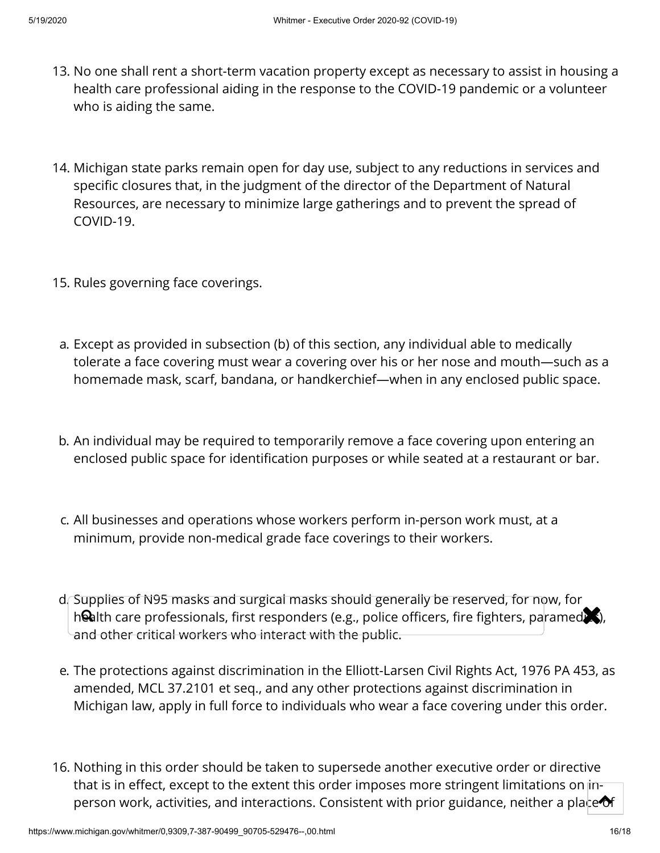- 13. No one shall rent a short-term vacation property except as necessary to assist in housing a health care professional aiding in the response to the COVID-19 pandemic or a volunteer who is aiding the same.
- 14. Michigan state parks remain open for day use, subject to any reductions in services and specific closures that, in the judgment of the director of the Department of Natural Resources, are necessary to minimize large gatherings and to prevent the spread of COVID-19.
- 15. Rules governing face coverings.
- a. Except as provided in subsection (b) of this section, any individual able to medically tolerate a face covering must wear a covering over his or her nose and mouth—such as a homemade mask, scarf, bandana, or handkerchief—when in any enclosed public space.
- b. An individual may be required to temporarily remove a face covering upon entering an enclosed public space for identification purposes or while seated at a restaurant or bar.
- c. All businesses and operations whose workers perform in-person work must, at a minimum, provide non-medical grade face coverings to their workers.
- d. Supplies of N95 masks and surgical masks should generally be reserved, for now, for bapphes of 135 masks and sargical masks should generally be reserved, for now, for<br>health care professionals, first responders (e.g., police officers, fire fighters, paramed. and other critical workers who interact with the public.
- e. The protections against discrimination in the Elliott-Larsen Civil Rights Act, 1976 PA 453, as amended, MCL 37.2101 et seq., and any other protections against discrimination in Michigan law, apply in full force to individuals who wear a face covering under this order.
- 16. Nothing in this order should be taken to supersede another executive order or directive that is in effect, except to the extent this order imposes more stringent limitations on inperson work, activities, and interactions. Consistent with prior guidance, neither a place  $\bullet$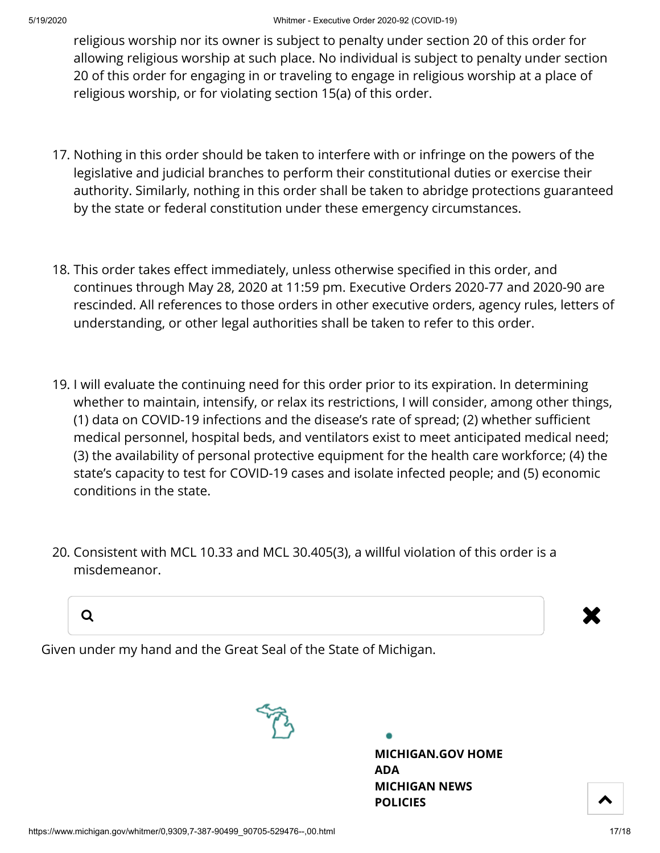religious worship nor its owner is subject to penalty under section 20 of this order for allowing religious worship at such place. No individual is subject to penalty under section 20 of this order for engaging in or traveling to engage in religious worship at a place of religious worship, or for violating section 15(a) of this order.

- 17. Nothing in this order should be taken to interfere with or infringe on the powers of the legislative and judicial branches to perform their constitutional duties or exercise their authority. Similarly, nothing in this order shall be taken to abridge protections guaranteed by the state or federal constitution under these emergency circumstances.
- 18. This order takes effect immediately, unless otherwise specified in this order, and continues through May 28, 2020 at 11:59 pm. Executive Orders 2020-77 and 2020-90 are rescinded. All references to those orders in other executive orders, agency rules, letters of understanding, or other legal authorities shall be taken to refer to this order.
- 19. I will evaluate the continuing need for this order prior to its expiration. In determining whether to maintain, intensify, or relax its restrictions, I will consider, among other things,  $(1)$  data on COVID-19 infections and the disease's rate of spread; (2) whether sufficient medical personnel, hospital beds, and ventilators exist to meet anticipated medical need; (3) the availability of personal protective equipment for the health care workforce; (4) the state's capacity to test for COVID-19 cases and isolate infected people; and (5) economic conditions in the state.
- 20. Consistent with MCL 10.33 and MCL 30.405(3), a willful violation of this order is a misdemeanor.



Given under my hand and the Great Seal of the State of Michigan.



**[MICHIGAN.GOV](https://www.michigan.gov/) HOME [ADA](https://www.michigan.gov/adaform) [MICHIGAN NEWS](https://www.michigan.gov/minewswire) [POLICIES](https://www.michigan.gov/whitmer/0,9309,7-387--281460--,00.html)**